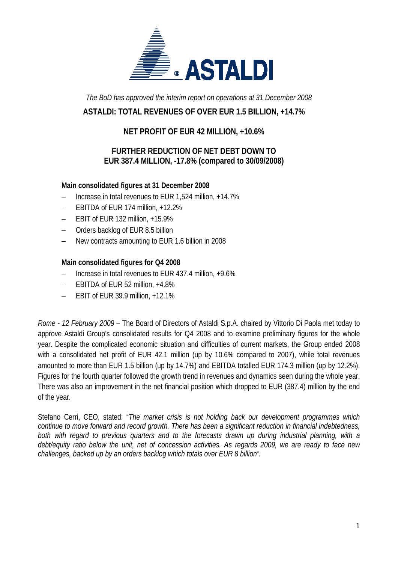

*The BoD has approved the interim report on operations at 31 December 2008* 

## **ASTALDI: TOTAL REVENUES OF OVER EUR 1.5 BILLION, +14.7%**

#### **NET PROFIT OF EUR 42 MILLION, +10.6%**

### **FURTHER REDUCTION OF NET DEBT DOWN TO EUR 387.4 MILLION, -17.8% (compared to 30/09/2008)**

#### **Main consolidated figures at 31 December 2008**

- − Increase in total revenues to EUR 1,524 million, +14.7%
- − EBITDA of EUR 174 million, +12.2%
- − EBIT of EUR 132 million, +15.9%
- − Orders backlog of EUR 8.5 billion
- New contracts amounting to EUR 1.6 billion in 2008

#### **Main consolidated figures for Q4 2008**

- − Increase in total revenues to EUR 437.4 million, +9.6%
- − EBITDA of EUR 52 million, +4.8%
- − EBIT of EUR 39.9 million, +12.1%

*Rome - 12 February 2009* – The Board of Directors of Astaldi S.p.A. chaired by Vittorio Di Paola met today to approve Astaldi Group's consolidated results for Q4 2008 and to examine preliminary figures for the whole year. Despite the complicated economic situation and difficulties of current markets, the Group ended 2008 with a consolidated net profit of EUR 42.1 million (up by 10.6% compared to 2007), while total revenues amounted to more than EUR 1.5 billion (up by 14.7%) and EBITDA totalled EUR 174.3 million (up by 12.2%). Figures for the fourth quarter followed the growth trend in revenues and dynamics seen during the whole year. There was also an improvement in the net financial position which dropped to EUR (387.4) million by the end of the year.

Stefano Cerri, CEO, stated: "*The market crisis is not holding back our development programmes which continue to move forward and record growth. There has been a significant reduction in financial indebtedness, both with regard to previous quarters and to the forecasts drawn up during industrial planning, with a debt/equity ratio below the unit, net of concession activities. As regards 2009, we are ready to face new challenges, backed up by an orders backlog which totals over EUR 8 billion".*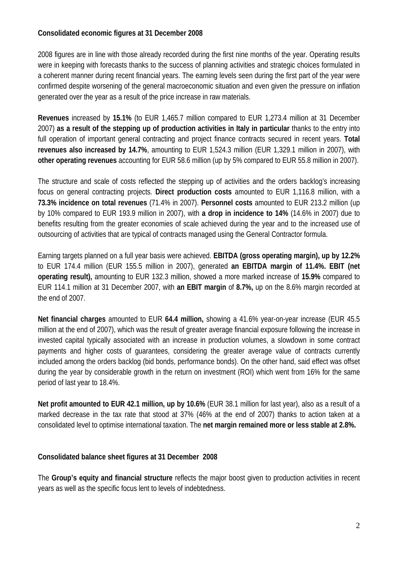#### **Consolidated economic figures at 31 December 2008**

2008 figures are in line with those already recorded during the first nine months of the year. Operating results were in keeping with forecasts thanks to the success of planning activities and strategic choices formulated in a coherent manner during recent financial years. The earning levels seen during the first part of the year were confirmed despite worsening of the general macroeconomic situation and even given the pressure on inflation generated over the year as a result of the price increase in raw materials.

**Revenues** increased by **15.1%** (to EUR 1,465.7 million compared to EUR 1,273.4 million at 31 December 2007) **as a result of the stepping up of production activities in Italy in particular** thanks to the entry into full operation of important general contracting and project finance contracts secured in recent years. **Total revenues also increased by 14.7%**, amounting to EUR 1,524.3 million (EUR 1,329.1 million in 2007), with **other operating revenues** accounting for EUR 58.6 million (up by 5% compared to EUR 55.8 million in 2007).

The structure and scale of costs reflected the stepping up of activities and the orders backlog's increasing focus on general contracting projects. **Direct production costs** amounted to EUR 1,116.8 million, with a **73.3% incidence on total revenues** (71.4% in 2007). **Personnel costs** amounted to EUR 213.2 million (up by 10% compared to EUR 193.9 million in 2007), with **a drop in incidence to 14%** (14.6% in 2007) due to benefits resulting from the greater economies of scale achieved during the year and to the increased use of outsourcing of activities that are typical of contracts managed using the General Contractor formula.

Earning targets planned on a full year basis were achieved. **EBITDA (gross operating margin), up by 12.2%** to EUR 174.4 million (EUR 155.5 million in 2007), generated **an EBITDA margin of 11.4%. EBIT (net operating result),** amounting to EUR 132.3 million, showed a more marked increase of **15.9%** compared to EUR 114.1 million at 31 December 2007, with **an EBIT margin** of **8.7%,** up on the 8.6% margin recorded at the end of 2007.

**Net financial charges** amounted to EUR **64.4 million,** showing a 41.6% year-on-year increase (EUR 45.5 million at the end of 2007), which was the result of greater average financial exposure following the increase in invested capital typically associated with an increase in production volumes, a slowdown in some contract payments and higher costs of guarantees, considering the greater average value of contracts currently included among the orders backlog (bid bonds, performance bonds). On the other hand, said effect was offset during the year by considerable growth in the return on investment (ROI) which went from 16% for the same period of last year to 18.4%.

**Net profit amounted to EUR 42.1 million, up by 10.6%** (EUR 38.1 million for last year), also as a result of a marked decrease in the tax rate that stood at 37% (46% at the end of 2007) thanks to action taken at a consolidated level to optimise international taxation. The **net margin remained more or less stable at 2.8%.**

#### **Consolidated balance sheet figures at 31 December 2008**

The **Group's equity and financial structure** reflects the major boost given to production activities in recent years as well as the specific focus lent to levels of indebtedness.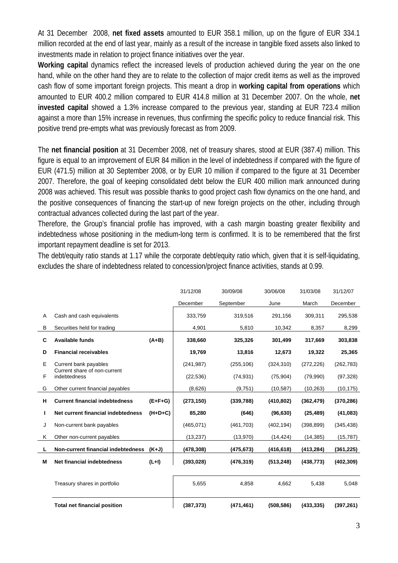At 31 December 2008, **net fixed assets** amounted to EUR 358.1 million, up on the figure of EUR 334.1 million recorded at the end of last year, mainly as a result of the increase in tangible fixed assets also linked to investments made in relation to project finance initiatives over the year.

**Working capital** dynamics reflect the increased levels of production achieved during the year on the one hand, while on the other hand they are to relate to the collection of major credit items as well as the improved cash flow of some important foreign projects. This meant a drop in **working capital from operations** which amounted to EUR 400.2 million compared to EUR 414.8 million at 31 December 2007. On the whole, **net invested capital** showed a 1.3% increase compared to the previous year, standing at EUR 723.4 million against a more than 15% increase in revenues, thus confirming the specific policy to reduce financial risk. This positive trend pre-empts what was previously forecast as from 2009.

The **net financial position** at 31 December 2008, net of treasury shares, stood at EUR (387.4) million. This figure is equal to an improvement of EUR 84 million in the level of indebtedness if compared with the figure of EUR (471.5) million at 30 September 2008, or by EUR 10 million if compared to the figure at 31 December 2007. Therefore, the goal of keeping consolidated debt below the EUR 400 million mark announced during 2008 was achieved. This result was possible thanks to good project cash flow dynamics on the one hand, and the positive consequences of financing the start-up of new foreign projects on the other, including through contractual advances collected during the last part of the year.

Therefore, the Group's financial profile has improved, with a cash margin boasting greater flexibility and indebtedness whose positioning in the medium-long term is confirmed. It is to be remembered that the first important repayment deadline is set for 2013.

The debt/equity ratio stands at 1.17 while the corporate debt/equity ratio which, given that it is self-liquidating, excludes the share of indebtedness related to concession/project finance activities, stands at 0.99.

|   |                                              |           | 31/12/08   | 30/09/08   | 30/06/08   | 31/03/08   | 31/12/07   |
|---|----------------------------------------------|-----------|------------|------------|------------|------------|------------|
|   |                                              |           | December   | September  | June       | March      | December   |
| Α | Cash and cash equivalents                    |           | 333,759    | 319,516    | 291,156    | 309,311    | 295,538    |
| B | Securities held for trading                  |           | 4,901      | 5,810      | 10,342     | 8,357      | 8,299      |
| C | <b>Available funds</b>                       | $(A+B)$   | 338,660    | 325,326    | 301,499    | 317,669    | 303,838    |
| D | <b>Financial receivables</b>                 |           | 19,769     | 13,816     | 12,673     | 19,322     | 25,365     |
| E | Current bank payables                        |           | (241, 987) | (255, 106) | (324, 310) | (272, 226) | (262, 783) |
| F | Current share of non-current<br>indebtedness |           | (22, 536)  | (74, 931)  | (75, 904)  | (79,990)   | (97, 328)  |
| G | Other current financial payables             |           | (8,626)    | (9,751)    | (10, 587)  | (10, 263)  | (10, 175)  |
| н | <b>Current financial indebtedness</b>        | $(E+F+G)$ | (273, 150) | (339, 788) | (410, 802) | (362, 479) | (370, 286) |
|   | Net current financial indebtedness           | $(H+D+C)$ | 85,280     | (646)      | (96, 630)  | (25, 489)  | (41, 083)  |
| J | Non-current bank payables                    |           | (465, 071) | (461, 703) | (402, 194) | (398, 899) | (345, 438) |
| Κ | Other non-current payables                   |           | (13, 237)  | (13,970)   | (14, 424)  | (14, 385)  | (15, 787)  |
| L | Non-current financial indebtedness           | $(K+J)$   | (478, 308) | (475, 673) | (416, 618) | (413, 284) | (361, 225) |
| M | Net financial indebtedness                   | $(L+1)$   | (393, 028) | (476, 319) | (513, 248) | (438, 773) | (402, 309) |
|   |                                              |           |            |            |            |            |            |
|   | Treasury shares in portfolio                 |           | 5,655      | 4,858      | 4,662      | 5,438      | 5,048      |
|   | <b>Total net financial position</b>          |           | (387, 373) | (471, 461) | (508, 586) | (433, 335) | (397, 261) |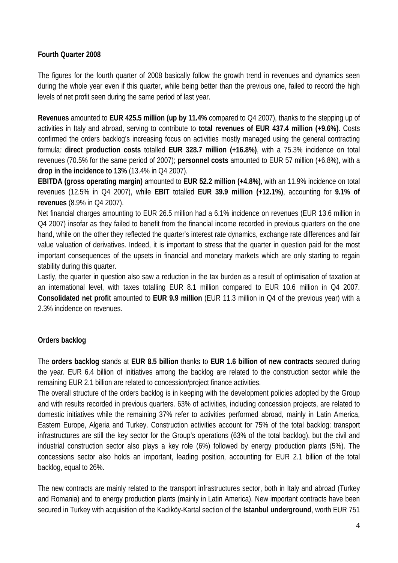#### **Fourth Quarter 2008**

The figures for the fourth quarter of 2008 basically follow the growth trend in revenues and dynamics seen during the whole year even if this quarter, while being better than the previous one, failed to record the high levels of net profit seen during the same period of last year.

**Revenues** amounted to **EUR 425.5 million (up by 11.4%** compared to Q4 2007), thanks to the stepping up of activities in Italy and abroad, serving to contribute to **total revenues of EUR 437.4 million (+9.6%)**. Costs confirmed the orders backlog's increasing focus on activities mostly managed using the general contracting formula*:* **direct production costs** totalled **EUR 328.7 million (+16.8%)**, with a 75.3% incidence on total revenues (70.5% for the same period of 2007); **personnel costs** amounted to EUR 57 million (+6.8%), with a **drop in the incidence to 13%** (13.4% in Q4 2007).

**EBITDA (gross operating margin)** amounted to **EUR 52.2 million (+4.8%)**, with an 11.9% incidence on total revenues (12.5% in Q4 2007), while **EBIT** totalled **EUR 39.9 million (+12.1%)**, accounting for **9.1% of revenues** (8.9% in Q4 2007).

Net financial charges amounting to EUR 26.5 million had a 6.1% incidence on revenues (EUR 13.6 million in Q4 2007) insofar as they failed to benefit from the financial income recorded in previous quarters on the one hand, while on the other they reflected the quarter's interest rate dynamics, exchange rate differences and fair value valuation of derivatives. Indeed, it is important to stress that the quarter in question paid for the most important consequences of the upsets in financial and monetary markets which are only starting to regain stability during this quarter.

Lastly, the quarter in question also saw a reduction in the tax burden as a result of optimisation of taxation at an international level, with taxes totalling EUR 8.1 million compared to EUR 10.6 million in Q4 2007. **Consolidated net profit** amounted to **EUR 9.9 million** (EUR 11.3 million in Q4 of the previous year) with a 2.3% incidence on revenues.

#### **Orders backlog**

The **orders backlog** stands at **EUR 8.5 billion** thanks to **EUR 1.6 billion of new contracts** secured during the year. EUR 6.4 billion of initiatives among the backlog are related to the construction sector while the remaining EUR 2.1 billion are related to concession/project finance activities.

The overall structure of the orders backlog is in keeping with the development policies adopted by the Group and with results recorded in previous quarters. 63% of activities, including concession projects, are related to domestic initiatives while the remaining 37% refer to activities performed abroad, mainly in Latin America, Eastern Europe, Algeria and Turkey. Construction activities account for 75% of the total backlog: transport infrastructures are still the key sector for the Group's operations (63% of the total backlog), but the civil and industrial construction sector also plays a key role (6%) followed by energy production plants (5%). The concessions sector also holds an important, leading position, accounting for EUR 2.1 billion of the total backlog, equal to 26%.

The new contracts are mainly related to the transport infrastructures sector, both in Italy and abroad (Turkey and Romania) and to energy production plants (mainly in Latin America). New important contracts have been secured in Turkey with acquisition of the Kadıköy-Kartal section of the **Istanbul underground**, worth EUR 751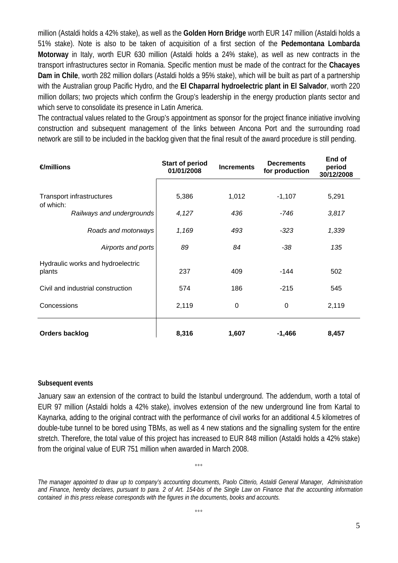million (Astaldi holds a 42% stake), as well as the **Golden Horn Bridge** worth EUR 147 million (Astaldi holds a 51% stake). Note is also to be taken of acquisition of a first section of the **Pedemontana Lombarda Motorway** in Italy, worth EUR 630 million (Astaldi holds a 24% stake), as well as new contracts in the transport infrastructures sector in Romania. Specific mention must be made of the contract for the **Chacayes Dam in Chile**, worth 282 million dollars (Astaldi holds a 95% stake), which will be built as part of a partnership with the Australian group Pacific Hydro, and the **El Chaparral hydroelectric plant in El Salvador**, worth 220 million dollars; two projects which confirm the Group's leadership in the energy production plants sector and which serve to consolidate its presence in Latin America.

The contractual values related to the Group's appointment as sponsor for the project finance initiative involving construction and subsequent management of the links between Ancona Port and the surrounding road network are still to be included in the backlog given that the final result of the award procedure is still pending.

| $\epsilon$ millions                                                 |                                                         | <b>Start of period</b><br>01/01/2008 | <b>Increments</b> | <b>Decrements</b><br>for production | End of<br>period<br>30/12/2008 |
|---------------------------------------------------------------------|---------------------------------------------------------|--------------------------------------|-------------------|-------------------------------------|--------------------------------|
| Transport infrastructures<br>of which:<br>Railways and undergrounds |                                                         | 5,386<br>4,127                       | 1,012<br>436      | $-1,107$<br>-746                    | 5,291<br>3,817                 |
|                                                                     | Roads and motorways                                     | 1,169                                | 493               | $-323$                              | 1,339                          |
| plants                                                              | Airports and ports<br>Hydraulic works and hydroelectric | 89<br>237                            | 84<br>409         | -38<br>-144                         | 135<br>502                     |
| Civil and industrial construction                                   |                                                         | 574                                  | 186               | $-215$                              | 545                            |
| Concessions                                                         |                                                         | 2,119                                | 0                 | 0                                   | 2,119                          |
| <b>Orders backlog</b>                                               |                                                         | 8,316                                | 1,607             | $-1,466$                            | 8,457                          |

#### **Subsequent events**

January saw an extension of the contract to build the Istanbul underground. The addendum, worth a total of EUR 97 million (Astaldi holds a 42% stake), involves extension of the new underground line from Kartal to Kaynarka, adding to the original contract with the performance of civil works for an additional 4.5 kilometres of double-tube tunnel to be bored using TBMs, as well as 4 new stations and the signalling system for the entire stretch. Therefore, the total value of this project has increased to EUR 848 million (Astaldi holds a 42% stake) from the original value of EUR 751 million when awarded in March 2008.

*The manager appointed to draw up to company's accounting documents, Paolo Citterio, Astaldi General Manager, Administration and Finance, hereby declares, pursuant to para. 2 of Art. 154-bis of the Single Law on Finance that the accounting information contained in this press release corresponds with the figures in the documents, books and accounts.* 

 $\overline{\mathbf{a}}$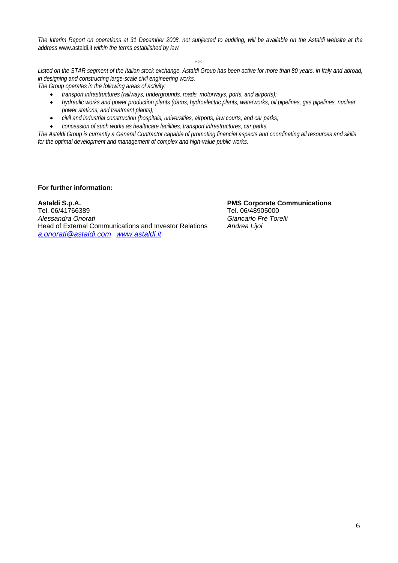*The Interim Report on operations at 31 December 2008, not subjected to auditing, will be available on the Astaldi website at the address* www.astaldi.it *within the terms established by law.* 

 $\overline{\mathbf{a}}$ 

*Listed on the STAR segment of the Italian stock exchange, Astaldi Group has been active for more than 80 years, in Italy and abroad, in designing and constructing large-scale civil engineering works.* 

*The Group operates in the following areas of activity:* 

- *transport infrastructures (railways, undergrounds, roads, motorways, ports, and airports);*
- *hydraulic works and power production plants (dams, hydroelectric plants, waterworks, oil pipelines, gas pipelines, nuclear power stations, and treatment plants);*
- *civil and industrial construction (hospitals, universities, airports, law courts, and car parks;*
- *concession of such works as healthcare facilities, transport infrastructures, car parks.*

*The Astaldi Group is currently a General Contractor capable of promoting financial aspects and coordinating all resources and skills for the optimal development and management of complex and high-value public works.* 

**For further information:**

Astaldi S.p.A. **PMS Corporate Communications**<br>
Tel 06/41766389 Tel 06/48905000 Tel. 06/41766389<br>Alessandra Onorati Head of External Communications and Investor Relations *Andrea Lijoi a.onorati@astaldi.com www.astaldi.it*

*Alessandra Onorati Giancarlo Frè Torelli*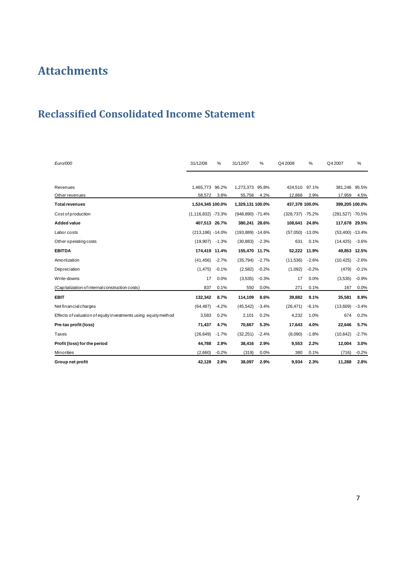## **Attachments**

## **Reclassified Consolidated Income Statement**

| Euro/000                                                       | 31/12/08               | %       | 31/12/07         | %       | Q4 2008              | %       | Q4 2007           | %       |
|----------------------------------------------------------------|------------------------|---------|------------------|---------|----------------------|---------|-------------------|---------|
|                                                                |                        |         |                  |         |                      |         |                   |         |
| Revenues                                                       | 1,465,773 96.2%        |         | 1,273,373        | 95.8%   | 424,510 97.1%        |         | 381,246 95.5%     |         |
| Other revenues                                                 | 58,572                 | 3.8%    | 55,758           | 4.2%    | 12,868               | 2.9%    | 17,959            | 4.5%    |
| <b>Total revenues</b>                                          | 1,524,345 100.0%       |         | 1,329,131 100.0% |         | 437,378 100.0%       |         | 399,205 100.0%    |         |
| Cost of production                                             | $(1, 116, 832) -73.3%$ |         | (948,890) -71.4% |         | $(328, 737) - 75.2%$ |         | (281,527) -70.5%  |         |
| <b>Added value</b>                                             | 407,513 26.7%          |         | 380,241 28.6%    |         | 108,641 24.8%        |         | 117,678 29.5%     |         |
| Labor costs                                                    | $(213, 186) - 14.0\%$  |         | (193,889) -14.6% |         | $(57,050) -13.0%$    |         | $(53,400) -13.4%$ |         |
| Other operating costs                                          | (19,907)               | $-1.3%$ | (30, 883)        | $-2.3%$ | 631                  | 0.1%    | (14, 425)         | $-3.6%$ |
| <b>EBITDA</b>                                                  | 174,419 11.4%          |         | 155,470 11.7%    |         | 52,222               | 11.9%   | 49.853            | 12.5%   |
| Amortization                                                   | (41, 456)              | $-2.7%$ | (35, 794)        | $-2.7%$ | (11, 536)            | $-2.6%$ | (10, 425)         | $-2.6%$ |
| <b>Depreciation</b>                                            | (1, 475)               | $-0.1%$ | (2, 582)         | $-0.2%$ | (1,092)              | $-0.2%$ | (479)             | $-0.1%$ |
| Write-downs                                                    | 17                     | 0.0%    | (3,535)          | $-0.3%$ | 17                   | 0.0%    | (3,535)           | $-0.9%$ |
| (Capitalization of internal construction costs)                | 837                    | 0.1%    | 550              | 0.0%    | 271                  | 0.1%    | 167               | 0.0%    |
| <b>EBIT</b>                                                    | 132,342                | 8.7%    | 114,109          | 8.6%    | 39,882               | 9.1%    | 35,581            | 8.9%    |
| Net financial charges                                          | (64, 487)              | $-4.2%$ | (45, 542)        | $-3.4%$ | (26, 471)            | $-6.1%$ | (13,609)          | $-3.4%$ |
| Effects of valuation of equity investments using equity method | 3,583                  | 0.2%    | 2,101            | 0.2%    | 4,232                | 1.0%    | 674               | 0.2%    |
| Pre-tax profit (loss)                                          | 71,437                 | 4.7%    | 70,667           | 5.3%    | 17,643               | 4.0%    | 22,646            | 5.7%    |
| Taxes                                                          | (26, 649)              | $-1.7%$ | (32, 251)        | $-2.4%$ | (8,090)              | $-1.8%$ | (10, 642)         | $-2.7%$ |
| Profit (loss) for the period                                   | 44,788                 | 2.9%    | 38,416           | 2.9%    | 9,553                | 2.2%    | 12,004            | 3.0%    |
| <b>Minorities</b>                                              | (2,660)                | $-0.2%$ | (319)            | 0.0%    | 380                  | 0.1%    | (716)             | $-0.2%$ |
| Group net profit                                               | 42,128                 | 2.8%    | 38.097           | 2.9%    | 9,934                | 2.3%    | 11.288            | 2.8%    |